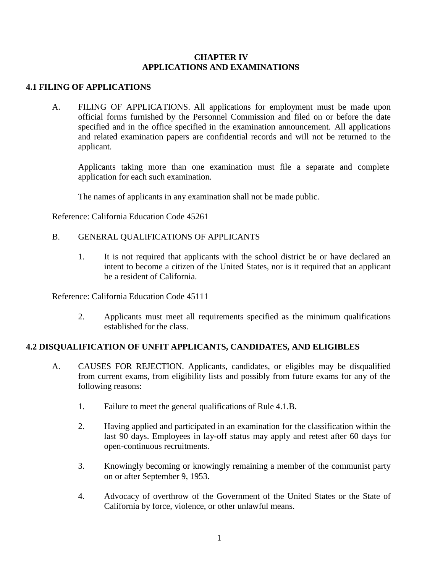#### **CHAPTER IV APPLICATIONS AND EXAMINATIONS**

## **4.1 FILING OF APPLICATIONS**

A. FILING OF APPLICATIONS. All applications for employment must be made upon official forms furnished by the Personnel Commission and filed on or before the date specified and in the office specified in the examination announcement. All applications and related examination papers are confidential records and will not be returned to the applicant.

Applicants taking more than one examination must file a separate and complete application for each such examination.

The names of applicants in any examination shall not be made public.

Reference: California Education Code 45261

- B. GENERAL QUALIFICATIONS OF APPLICANTS
	- 1. It is not required that applicants with the school district be or have declared an intent to become a citizen of the United States, nor is it required that an applicant be a resident of California.

Reference: California Education Code 45111

2. Applicants must meet all requirements specified as the minimum qualifications established for the class.

## **4.2 DISQUALIFICATION OF UNFIT APPLICANTS, CANDIDATES, AND ELIGIBLES**

- A. CAUSES FOR REJECTION. Applicants, candidates, or eligibles may be disqualified from current exams, from eligibility lists and possibly from future exams for any of the following reasons:
	- 1. Failure to meet the general qualifications of Rule 4.1.B.
	- 2. Having applied and participated in an examination for the classification within the last 90 days. Employees in lay-off status may apply and retest after 60 days for open-continuous recruitments.
	- 3. Knowingly becoming or knowingly remaining a member of the communist party on or after September 9, 1953.
	- 4. Advocacy of overthrow of the Government of the United States or the State of California by force, violence, or other unlawful means.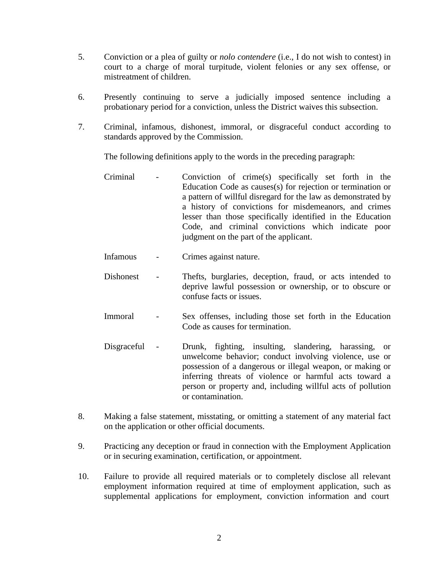- 5. Conviction or a plea of guilty or *nolo contendere* (i.e., I do not wish to contest) in court to a charge of moral turpitude, violent felonies or any sex offense, or mistreatment of children.
- 6. Presently continuing to serve a judicially imposed sentence including a probationary period for a conviction, unless the District waives this subsection.
- 7. Criminal, infamous, dishonest, immoral, or disgraceful conduct according to standards approved by the Commission.

The following definitions apply to the words in the preceding paragraph:

- Criminal Conviction of crime(s) specifically set forth in the Education Code as causes(s) for rejection or termination or a pattern of willful disregard for the law as demonstrated by a history of convictions for misdemeanors, and crimes lesser than those specifically identified in the Education Code, and criminal convictions which indicate poor judgment on the part of the applicant.
- Infamous Crimes against nature.
- Dishonest Thefts, burglaries, deception, fraud, or acts intended to deprive lawful possession or ownership, or to obscure or confuse facts or issues.
- Immoral Sex offenses, including those set forth in the Education Code as causes for termination.
- Disgraceful Drunk, fighting, insulting, slandering, harassing, or unwelcome behavior; conduct involving violence, use or possession of a dangerous or illegal weapon, or making or inferring threats of violence or harmful acts toward a person or property and, including willful acts of pollution or contamination.
- 8. Making a false statement, misstating, or omitting a statement of any material fact on the application or other official documents.
- 9. Practicing any deception or fraud in connection with the Employment Application or in securing examination, certification, or appointment.
- 10. Failure to provide all required materials or to completely disclose all relevant employment information required at time of employment application, such as supplemental applications for employment, conviction information and court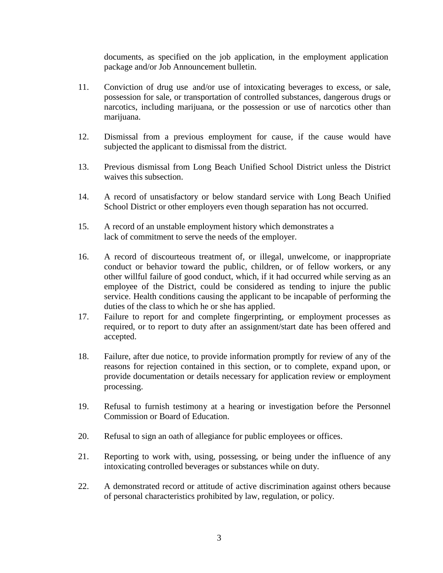documents, as specified on the job application, in the employment application package and/or Job Announcement bulletin.

- 11. Conviction of drug use and/or use of intoxicating beverages to excess, or sale, possession for sale, or transportation of controlled substances, dangerous drugs or narcotics, including marijuana, or the possession or use of narcotics other than marijuana.
- 12. Dismissal from a previous employment for cause, if the cause would have subjected the applicant to dismissal from the district.
- 13. Previous dismissal from Long Beach Unified School District unless the District waives this subsection.
- 14. A record of unsatisfactory or below standard service with Long Beach Unified School District or other employers even though separation has not occurred.
- 15. A record of an unstable employment history which demonstrates a lack of commitment to serve the needs of the employer.
- 16. A record of discourteous treatment of, or illegal, unwelcome, or inappropriate conduct or behavior toward the public, children, or of fellow workers, or any other willful failure of good conduct, which, if it had occurred while serving as an employee of the District, could be considered as tending to injure the public service. Health conditions causing the applicant to be incapable of performing the duties of the class to which he or she has applied.
- 17. Failure to report for and complete fingerprinting, or employment processes as required, or to report to duty after an assignment/start date has been offered and accepted.
- 18. Failure, after due notice, to provide information promptly for review of any of the reasons for rejection contained in this section, or to complete, expand upon, or provide documentation or details necessary for application review or employment processing.
- 19. Refusal to furnish testimony at a hearing or investigation before the Personnel Commission or Board of Education.
- 20. Refusal to sign an oath of allegiance for public employees or offices.
- 21. Reporting to work with, using, possessing, or being under the influence of any intoxicating controlled beverages or substances while on duty.
- 22. A demonstrated record or attitude of active discrimination against others because of personal characteristics prohibited by law, regulation, or policy.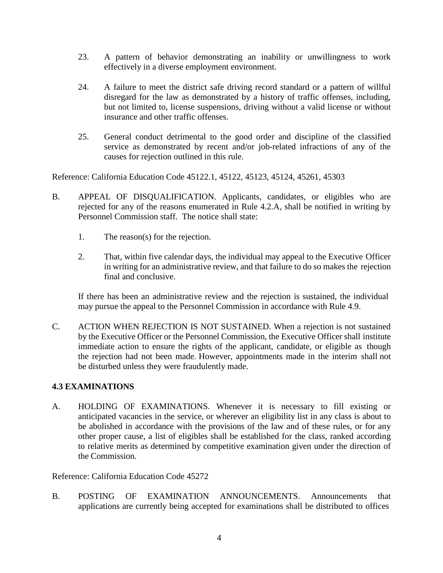- 23. A pattern of behavior demonstrating an inability or unwillingness to work effectively in a diverse employment environment.
- 24. A failure to meet the district safe driving record standard or a pattern of willful disregard for the law as demonstrated by a history of traffic offenses, including, but not limited to, license suspensions, driving without a valid license or without insurance and other traffic offenses.
- 25. General conduct detrimental to the good order and discipline of the classified service as demonstrated by recent and/or job-related infractions of any of the causes for rejection outlined in this rule.

Reference: California Education Code 45122.1, 45122, 45123, 45124, 45261, 45303

- B. APPEAL OF DISQUALIFICATION. Applicants, candidates, or eligibles who are rejected for any of the reasons enumerated in Rule 4.2.A, shall be notified in writing by Personnel Commission staff. The notice shall state:
	- 1. The reason(s) for the rejection.
	- 2. That, within five calendar days, the individual may appeal to the Executive Officer in writing for an administrative review, and that failure to do so makes the rejection final and conclusive.

If there has been an administrative review and the rejection is sustained, the individual may pursue the appeal to the Personnel Commission in accordance with Rule 4.9.

C. ACTION WHEN REJECTION IS NOT SUSTAINED. When a rejection is not sustained by the Executive Officer or the Personnel Commission, the Executive Officer shall institute immediate action to ensure the rights of the applicant, candidate, or eligible as though the rejection had not been made. However, appointments made in the interim shall not be disturbed unless they were fraudulently made.

#### **4.3 EXAMINATIONS**

A. HOLDING OF EXAMINATIONS. Whenever it is necessary to fill existing or anticipated vacancies in the service, or wherever an eligibility list in any class is about to be abolished in accordance with the provisions of the law and of these rules, or for any other proper cause, a list of eligibles shall be established for the class, ranked according to relative merits as determined by competitive examination given under the direction of the Commission.

Reference: California Education Code 45272

B. POSTING OF EXAMINATION ANNOUNCEMENTS. Announcements that applications are currently being accepted for examinations shall be distributed to offices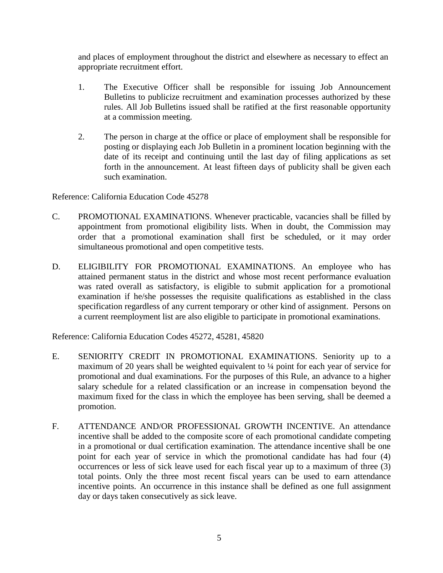and places of employment throughout the district and elsewhere as necessary to effect an appropriate recruitment effort.

- 1. The Executive Officer shall be responsible for issuing Job Announcement Bulletins to publicize recruitment and examination processes authorized by these rules. All Job Bulletins issued shall be ratified at the first reasonable opportunity at a commission meeting.
- 2. The person in charge at the office or place of employment shall be responsible for posting or displaying each Job Bulletin in a prominent location beginning with the date of its receipt and continuing until the last day of filing applications as set forth in the announcement. At least fifteen days of publicity shall be given each such examination.

Reference: California Education Code 45278

- C. PROMOTIONAL EXAMINATIONS. Whenever practicable, vacancies shall be filled by appointment from promotional eligibility lists. When in doubt, the Commission may order that a promotional examination shall first be scheduled, or it may order simultaneous promotional and open competitive tests.
- D. ELIGIBILITY FOR PROMOTIONAL EXAMINATIONS. An employee who has attained permanent status in the district and whose most recent performance evaluation was rated overall as satisfactory, is eligible to submit application for a promotional examination if he/she possesses the requisite qualifications as established in the class specification regardless of any current temporary or other kind of assignment. Persons on a current reemployment list are also eligible to participate in promotional examinations.

Reference: California Education Codes 45272, 45281, 45820

- E. SENIORITY CREDIT IN PROMOTIONAL EXAMINATIONS. Seniority up to a maximum of 20 years shall be weighted equivalent to ¼ point for each year of service for promotional and dual examinations. For the purposes of this Rule, an advance to a higher salary schedule for a related classification or an increase in compensation beyond the maximum fixed for the class in which the employee has been serving, shall be deemed a promotion.
- F. ATTENDANCE AND/OR PROFESSIONAL GROWTH INCENTIVE. An attendance incentive shall be added to the composite score of each promotional candidate competing in a promotional or dual certification examination. The attendance incentive shall be one point for each year of service in which the promotional candidate has had four (4) occurrences or less of sick leave used for each fiscal year up to a maximum of three (3) total points. Only the three most recent fiscal years can be used to earn attendance incentive points. An occurrence in this instance shall be defined as one full assignment day or days taken consecutively as sick leave.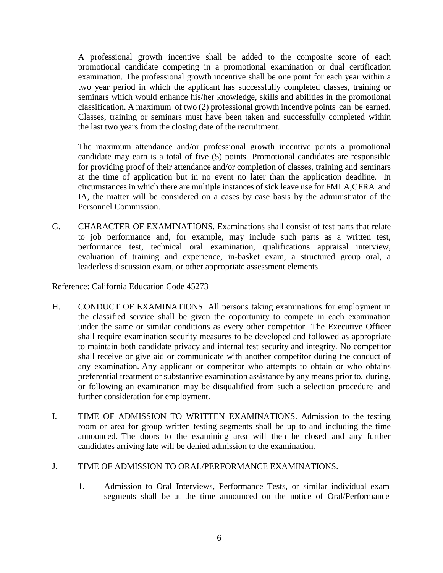A professional growth incentive shall be added to the composite score of each promotional candidate competing in a promotional examination or dual certification examination. The professional growth incentive shall be one point for each year within a two year period in which the applicant has successfully completed classes, training or seminars which would enhance his/her knowledge, skills and abilities in the promotional classification. A maximum of two (2) professional growth incentive points can be earned. Classes, training or seminars must have been taken and successfully completed within the last two years from the closing date of the recruitment.

The maximum attendance and/or professional growth incentive points a promotional candidate may earn is a total of five (5) points. Promotional candidates are responsible for providing proof of their attendance and/or completion of classes, training and seminars at the time of application but in no event no later than the application deadline. In circumstances in which there are multiple instances of sick leave use for FMLA,CFRA and IA, the matter will be considered on a cases by case basis by the administrator of the Personnel Commission.

G. CHARACTER OF EXAMINATIONS. Examinations shall consist of test parts that relate to job performance and, for example, may include such parts as a written test, performance test, technical oral examination, qualifications appraisal interview, evaluation of training and experience, in-basket exam, a structured group oral, a leaderless discussion exam, or other appropriate assessment elements.

Reference: California Education Code 45273

- H. CONDUCT OF EXAMINATIONS. All persons taking examinations for employment in the classified service shall be given the opportunity to compete in each examination under the same or similar conditions as every other competitor. The Executive Officer shall require examination security measures to be developed and followed as appropriate to maintain both candidate privacy and internal test security and integrity. No competitor shall receive or give aid or communicate with another competitor during the conduct of any examination. Any applicant or competitor who attempts to obtain or who obtains preferential treatment or substantive examination assistance by any means prior to, during, or following an examination may be disqualified from such a selection procedure and further consideration for employment.
- I. TIME OF ADMISSION TO WRITTEN EXAMINATIONS. Admission to the testing room or area for group written testing segments shall be up to and including the time announced. The doors to the examining area will then be closed and any further candidates arriving late will be denied admission to the examination.

#### J. TIME OF ADMISSION TO ORAL/PERFORMANCE EXAMINATIONS.

1. Admission to Oral Interviews, Performance Tests, or similar individual exam segments shall be at the time announced on the notice of Oral/Performance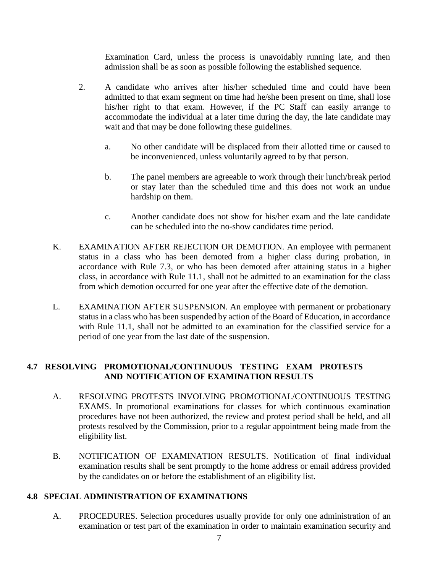Examination Card, unless the process is unavoidably running late, and then admission shall be as soon as possible following the established sequence.

- 2. A candidate who arrives after his/her scheduled time and could have been admitted to that exam segment on time had he/she been present on time, shall lose his/her right to that exam. However, if the PC Staff can easily arrange to accommodate the individual at a later time during the day, the late candidate may wait and that may be done following these guidelines.
	- a. No other candidate will be displaced from their allotted time or caused to be inconvenienced, unless voluntarily agreed to by that person.
	- b. The panel members are agreeable to work through their lunch/break period or stay later than the scheduled time and this does not work an undue hardship on them.
	- c. Another candidate does not show for his/her exam and the late candidate can be scheduled into the no-show candidates time period.
- K. EXAMINATION AFTER REJECTION OR DEMOTION. An employee with permanent status in a class who has been demoted from a higher class during probation, in accordance with Rule 7.3, or who has been demoted after attaining status in a higher class, in accordance with Rule 11.1, shall not be admitted to an examination for the class from which demotion occurred for one year after the effective date of the demotion.
- L. EXAMINATION AFTER SUSPENSION. An employee with permanent or probationary status in a class who has been suspended by action of the Board of Education, in accordance with Rule 11.1, shall not be admitted to an examination for the classified service for a period of one year from the last date of the suspension.

# **4.7 RESOLVING PROMOTIONAL/CONTINUOUS TESTING EXAM PROTESTS AND NOTIFICATION OF EXAMINATION RESULTS**

- A. RESOLVING PROTESTS INVOLVING PROMOTIONAL/CONTINUOUS TESTING EXAMS. In promotional examinations for classes for which continuous examination procedures have not been authorized, the review and protest period shall be held, and all protests resolved by the Commission, prior to a regular appointment being made from the eligibility list.
- B. NOTIFICATION OF EXAMINATION RESULTS. Notification of final individual examination results shall be sent promptly to the home address or email address provided by the candidates on or before the establishment of an eligibility list.

## **4.8 SPECIAL ADMINISTRATION OF EXAMINATIONS**

A. PROCEDURES. Selection procedures usually provide for only one administration of an examination or test part of the examination in order to maintain examination security and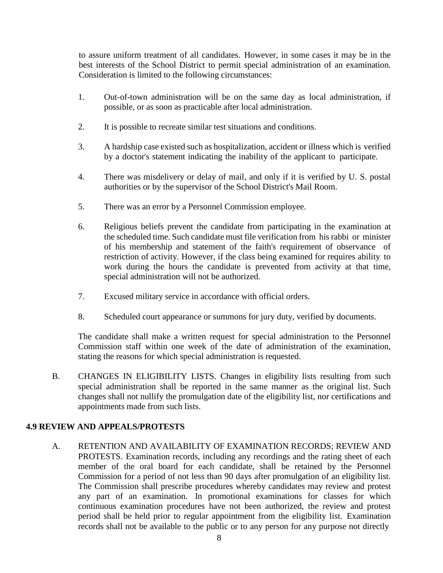to assure uniform treatment of all candidates. However, in some cases it may be in the best interests of the School District to permit special administration of an examination. Consideration is limited to the following circumstances:

- 1. Out-of-town administration will be on the same day as local administration, if possible, or as soon as practicable after local administration.
- 2. It is possible to recreate similar test situations and conditions.
- 3. A hardship case existed such as hospitalization, accident or illness which is verified by a doctor's statement indicating the inability of the applicant to participate.
- 4. There was misdelivery or delay of mail, and only if it is verified by U. S. postal authorities or by the supervisor of the School District's Mail Room.
- 5. There was an error by a Personnel Commission employee.
- 6. Religious beliefs prevent the candidate from participating in the examination at the scheduled time. Such candidate must file verification from his rabbi or minister of his membership and statement of the faith's requirement of observance of restriction of activity. However, if the class being examined for requires ability to work during the hours the candidate is prevented from activity at that time, special administration will not be authorized.
- 7. Excused military service in accordance with official orders.
- 8. Scheduled court appearance or summons for jury duty, verified by documents.

The candidate shall make a written request for special administration to the Personnel Commission staff within one week of the date of administration of the examination, stating the reasons for which special administration is requested.

B. CHANGES IN ELIGIBILITY LISTS. Changes in eligibility lists resulting from such special administration shall be reported in the same manner as the original list. Such changes shall not nullify the promulgation date of the eligibility list, nor certifications and appointments made from such lists.

## **4.9 REVIEW AND APPEALS/PROTESTS**

A. RETENTION AND AVAILABILITY OF EXAMINATION RECORDS; REVIEW AND PROTESTS. Examination records, including any recordings and the rating sheet of each member of the oral board for each candidate, shall be retained by the Personnel Commission for a period of not less than 90 days after promulgation of an eligibility list. The Commission shall prescribe procedures whereby candidates may review and protest any part of an examination. In promotional examinations for classes for which continuous examination procedures have not been authorized, the review and protest period shall be held prior to regular appointment from the eligibility list. Examination records shall not be available to the public or to any person for any purpose not directly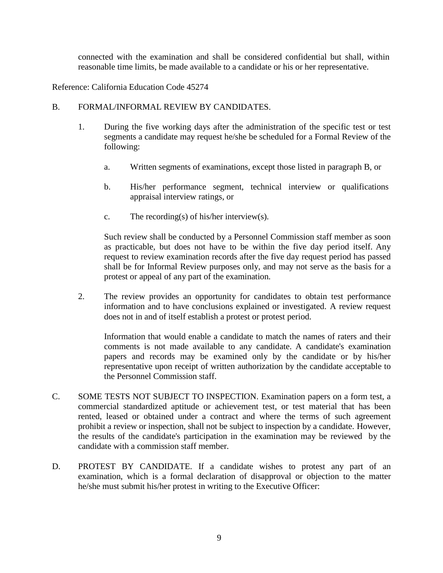connected with the examination and shall be considered confidential but shall, within reasonable time limits, be made available to a candidate or his or her representative.

Reference: California Education Code 45274

#### B. FORMAL/INFORMAL REVIEW BY CANDIDATES.

- 1. During the five working days after the administration of the specific test or test segments a candidate may request he/she be scheduled for a Formal Review of the following:
	- a. Written segments of examinations, except those listed in paragraph B, or
	- b. His/her performance segment, technical interview or qualifications appraisal interview ratings, or
	- c. The recording(s) of his/her interview(s).

Such review shall be conducted by a Personnel Commission staff member as soon as practicable, but does not have to be within the five day period itself. Any request to review examination records after the five day request period has passed shall be for Informal Review purposes only, and may not serve as the basis for a protest or appeal of any part of the examination.

2. The review provides an opportunity for candidates to obtain test performance information and to have conclusions explained or investigated. A review request does not in and of itself establish a protest or protest period.

Information that would enable a candidate to match the names of raters and their comments is not made available to any candidate. A candidate's examination papers and records may be examined only by the candidate or by his/her representative upon receipt of written authorization by the candidate acceptable to the Personnel Commission staff.

- C. SOME TESTS NOT SUBJECT TO INSPECTION. Examination papers on a form test, a commercial standardized aptitude or achievement test, or test material that has been rented, leased or obtained under a contract and where the terms of such agreement prohibit a review or inspection, shall not be subject to inspection by a candidate. However, the results of the candidate's participation in the examination may be reviewed by the candidate with a commission staff member.
- D. PROTEST BY CANDIDATE. If a candidate wishes to protest any part of an examination, which is a formal declaration of disapproval or objection to the matter he/she must submit his/her protest in writing to the Executive Officer: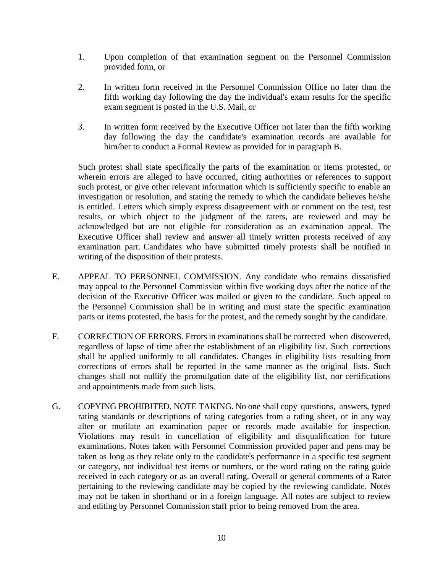- 1. Upon completion of that examination segment on the Personnel Commission provided form, or
- 2. In written form received in the Personnel Commission Office no later than the fifth working day following the day the individual's exam results for the specific exam segment is posted in the U.S. Mail, or
- 3. In written form received by the Executive Officer not later than the fifth working day following the day the candidate's examination records are available for him/her to conduct a Formal Review as provided for in paragraph B.

Such protest shall state specifically the parts of the examination or items protested, or wherein errors are alleged to have occurred, citing authorities or references to support such protest, or give other relevant information which is sufficiently specific to enable an investigation or resolution, and stating the remedy to which the candidate believes he/she is entitled. Letters which simply express disagreement with or comment on the test, test results, or which object to the judgment of the raters, are reviewed and may be acknowledged but are not eligible for consideration as an examination appeal. The Executive Officer shall review and answer all timely written protests received of any examination part. Candidates who have submitted timely protests shall be notified in writing of the disposition of their protests.

- E. APPEAL TO PERSONNEL COMMISSION. Any candidate who remains dissatisfied may appeal to the Personnel Commission within five working days after the notice of the decision of the Executive Officer was mailed or given to the candidate. Such appeal to the Personnel Commission shall be in writing and must state the specific examination parts or items protested, the basis for the protest, and the remedy sought by the candidate.
- F. CORRECTION OF ERRORS. Errors in examinations shall be corrected when discovered, regardless of lapse of time after the establishment of an eligibility list. Such corrections shall be applied uniformly to all candidates. Changes in eligibility lists resulting from corrections of errors shall be reported in the same manner as the original lists. Such changes shall not nullify the promulgation date of the eligibility list, nor certifications and appointments made from such lists.
- G. COPYING PROHIBITED, NOTE TAKING. No one shall copy questions, answers, typed rating standards or descriptions of rating categories from a rating sheet, or in any way alter or mutilate an examination paper or records made available for inspection. Violations may result in cancellation of eligibility and disqualification for future examinations. Notes taken with Personnel Commission provided paper and pens may be taken as long as they relate only to the candidate's performance in a specific test segment or category, not individual test items or numbers, or the word rating on the rating guide received in each category or as an overall rating. Overall or general comments of a Rater pertaining to the reviewing candidate may be copied by the reviewing candidate. Notes may not be taken in shorthand or in a foreign language. All notes are subject to review and editing by Personnel Commission staff prior to being removed from the area.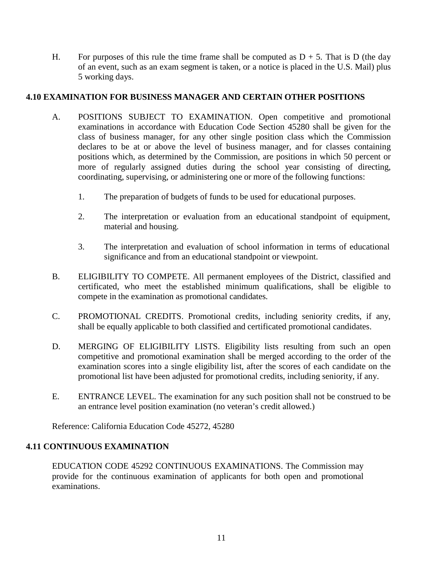H. For purposes of this rule the time frame shall be computed as  $D + 5$ . That is D (the day of an event, such as an exam segment is taken, or a notice is placed in the U.S. Mail) plus 5 working days.

# **4.10 EXAMINATION FOR BUSINESS MANAGER AND CERTAIN OTHER POSITIONS**

- A. POSITIONS SUBJECT TO EXAMINATION. Open competitive and promotional examinations in accordance with Education Code Section 45280 shall be given for the class of business manager, for any other single position class which the Commission declares to be at or above the level of business manager, and for classes containing positions which, as determined by the Commission, are positions in which 50 percent or more of regularly assigned duties during the school year consisting of directing, coordinating, supervising, or administering one or more of the following functions:
	- 1. The preparation of budgets of funds to be used for educational purposes.
	- 2. The interpretation or evaluation from an educational standpoint of equipment, material and housing.
	- 3. The interpretation and evaluation of school information in terms of educational significance and from an educational standpoint or viewpoint.
- B. ELIGIBILITY TO COMPETE. All permanent employees of the District, classified and certificated, who meet the established minimum qualifications, shall be eligible to compete in the examination as promotional candidates.
- C. PROMOTIONAL CREDITS. Promotional credits, including seniority credits, if any, shall be equally applicable to both classified and certificated promotional candidates.
- D. MERGING OF ELIGIBILITY LISTS. Eligibility lists resulting from such an open competitive and promotional examination shall be merged according to the order of the examination scores into a single eligibility list, after the scores of each candidate on the promotional list have been adjusted for promotional credits, including seniority, if any.
- E. ENTRANCE LEVEL. The examination for any such position shall not be construed to be an entrance level position examination (no veteran's credit allowed.)

Reference: California Education Code 45272, 45280

## **4.11 CONTINUOUS EXAMINATION**

EDUCATION CODE 45292 CONTINUOUS EXAMINATIONS. The Commission may provide for the continuous examination of applicants for both open and promotional examinations.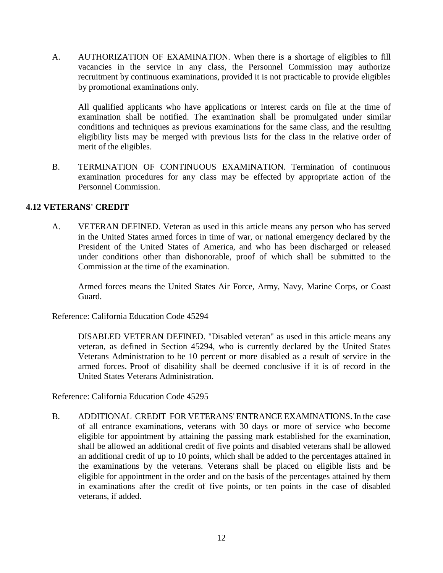A. AUTHORIZATION OF EXAMINATION. When there is a shortage of eligibles to fill vacancies in the service in any class, the Personnel Commission may authorize recruitment by continuous examinations, provided it is not practicable to provide eligibles by promotional examinations only.

All qualified applicants who have applications or interest cards on file at the time of examination shall be notified. The examination shall be promulgated under similar conditions and techniques as previous examinations for the same class, and the resulting eligibility lists may be merged with previous lists for the class in the relative order of merit of the eligibles.

B. TERMINATION OF CONTINUOUS EXAMINATION. Termination of continuous examination procedures for any class may be effected by appropriate action of the Personnel Commission.

## **4.12 VETERANS' CREDIT**

A. VETERAN DEFINED. Veteran as used in this article means any person who has served in the United States armed forces in time of war, or national emergency declared by the President of the United States of America, and who has been discharged or released under conditions other than dishonorable, proof of which shall be submitted to the Commission at the time of the examination.

Armed forces means the United States Air Force, Army, Navy, Marine Corps, or Coast Guard.

Reference: California Education Code 45294

DISABLED VETERAN DEFINED. "Disabled veteran" as used in this article means any veteran, as defined in Section 45294, who is currently declared by the United States Veterans Administration to be 10 percent or more disabled as a result of service in the armed forces. Proof of disability shall be deemed conclusive if it is of record in the United States Veterans Administration.

Reference: California Education Code 45295

B. ADDITIONAL CREDIT FOR VETERANS' ENTRANCE EXAMINATIONS. In the case of all entrance examinations, veterans with 30 days or more of service who become eligible for appointment by attaining the passing mark established for the examination, shall be allowed an additional credit of five points and disabled veterans shall be allowed an additional credit of up to 10 points, which shall be added to the percentages attained in the examinations by the veterans. Veterans shall be placed on eligible lists and be eligible for appointment in the order and on the basis of the percentages attained by them in examinations after the credit of five points, or ten points in the case of disabled veterans, if added.